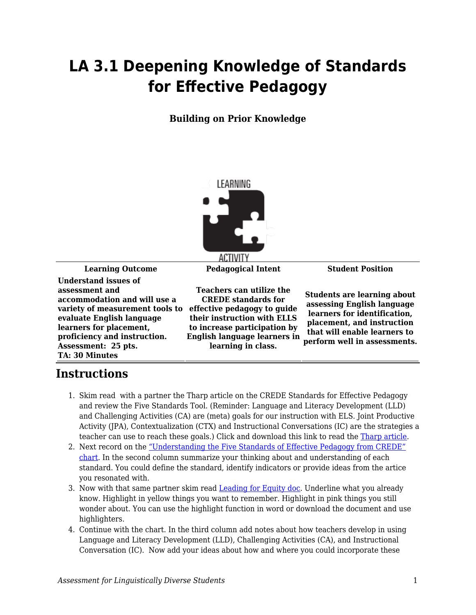## **LA 3.1 Deepening Knowledge of Standards for Effective Pedagogy**

**Building on Prior Knowledge**



**Learning Outcome Pedagogical Intent Student Position Understand issues of assessment and accommodation and will use a variety of measurement tools to evaluate English language learners for placement, proficiency and instruction. Assessment: 25 pts. TA: 30 Minutes**

**Teachers can utilize the CREDE standards for effective pedagogy to guide their instruction with ELLS to increase participation by English language learners in learning in class.**

**Students are learning about assessing English language learners for identification, placement, and instruction that will enable learners to perform well in assessments.**

## **Instructions**

- 1. Skim read with a partner the Tharp article on the CREDE Standards for Effective Pedagogy and review the Five Standards Tool. (Reminder: Language and Literacy Development (LLD) and Challenging Activities (CA) are (meta) goals for our instruction with ELS. Joint Productive Activity (JPA), Contextualization (CTX) and Instructional Conversations (IC) are the strategies a teacher can use to reach these goals.) Click and download this link to read the [Tharp article.](https://byu.box.com/s/j1vgqw2qoyuko4jah6j5zpam4vsrhnlc)
- 2. Next record on the ["Understanding the Five Standards of Effective Pedagogy from CREDE"](https://byu.box.com/s/7m9bg7al77d2u2yu19e2avkjjjvvv8ui) [chart](https://byu.box.com/s/7m9bg7al77d2u2yu19e2avkjjjvvv8ui). In the second column summarize your thinking about and understanding of each standard. You could define the standard, identify indicators or provide ideas from the artice you resonated with.
- 3. Now with that same partner skim read [Leading for Equity doc](https://byu.box.com/s/czfvqc5ye6giv1vsl94k8u6xospe2w2m). Underline what you already know. Highlight in yellow things you want to remember. Highlight in pink things you still wonder about. You can use the highlight function in word or download the document and use highlighters.
- 4. Continue with the chart. In the third column add notes about how teachers develop in using Language and Literacy Development (LLD), Challenging Activities (CA), and Instructional Conversation (IC). Now add your ideas about how and where you could incorporate these